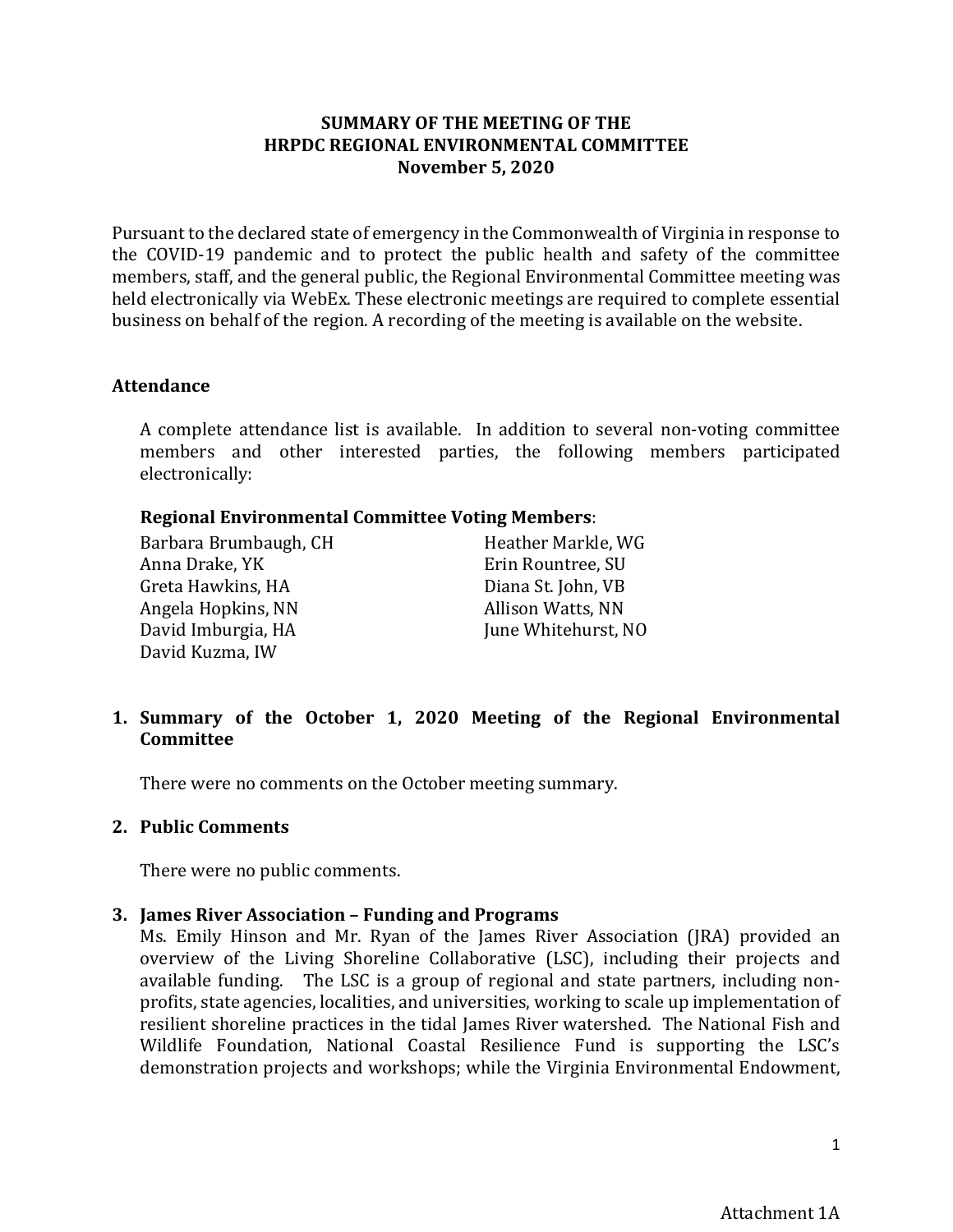## **SUMMARY OF THE MEETING OF THE HRPDC REGIONAL ENVIRONMENTAL COMMITTEE November 5, 2020**

Pursuant to the declared state of emergency in the Commonwealth of Virginia in response to the COVID-19 pandemic and to protect the public health and safety of the committee members, staff, and the general public, the Regional Environmental Committee meeting was held electronically via WebEx. These electronic meetings are required to complete essential business on behalf of the region. A recording of the meeting is available on the website.

#### **Attendance**

A complete attendance list is available. In addition to several non-voting committee members and other interested parties, the following members participated electronically:

#### **Regional Environmental Committee Voting Members**:

| Barbara Brumbaugh, CH | Heather Markle, WG  |
|-----------------------|---------------------|
| Anna Drake, YK        | Erin Rountree, SU   |
| Greta Hawkins, HA     | Diana St. John, VB  |
| Angela Hopkins, NN    | Allison Watts, NN   |
| David Imburgia, HA    | June Whitehurst, NO |
| David Kuzma, IW       |                     |
|                       |                     |

# **1. Summary of the October 1, 2020 Meeting of the Regional Environmental Committee**

There were no comments on the October meeting summary.

#### **2. Public Comments**

There were no public comments.

## **3. James River Association – Funding and Programs**

Ms. Emily Hinson and Mr. Ryan of the James River Association (JRA) provided an overview of the Living Shoreline Collaborative (LSC), including their projects and available funding. The LSC is a group of regional and state partners, including nonprofits, state agencies, localities, and universities, working to scale up implementation of resilient shoreline practices in the tidal James River watershed. The National Fish and Wildlife Foundation, National Coastal Resilience Fund is supporting the LSC's demonstration projects and workshops; while the Virginia Environmental Endowment,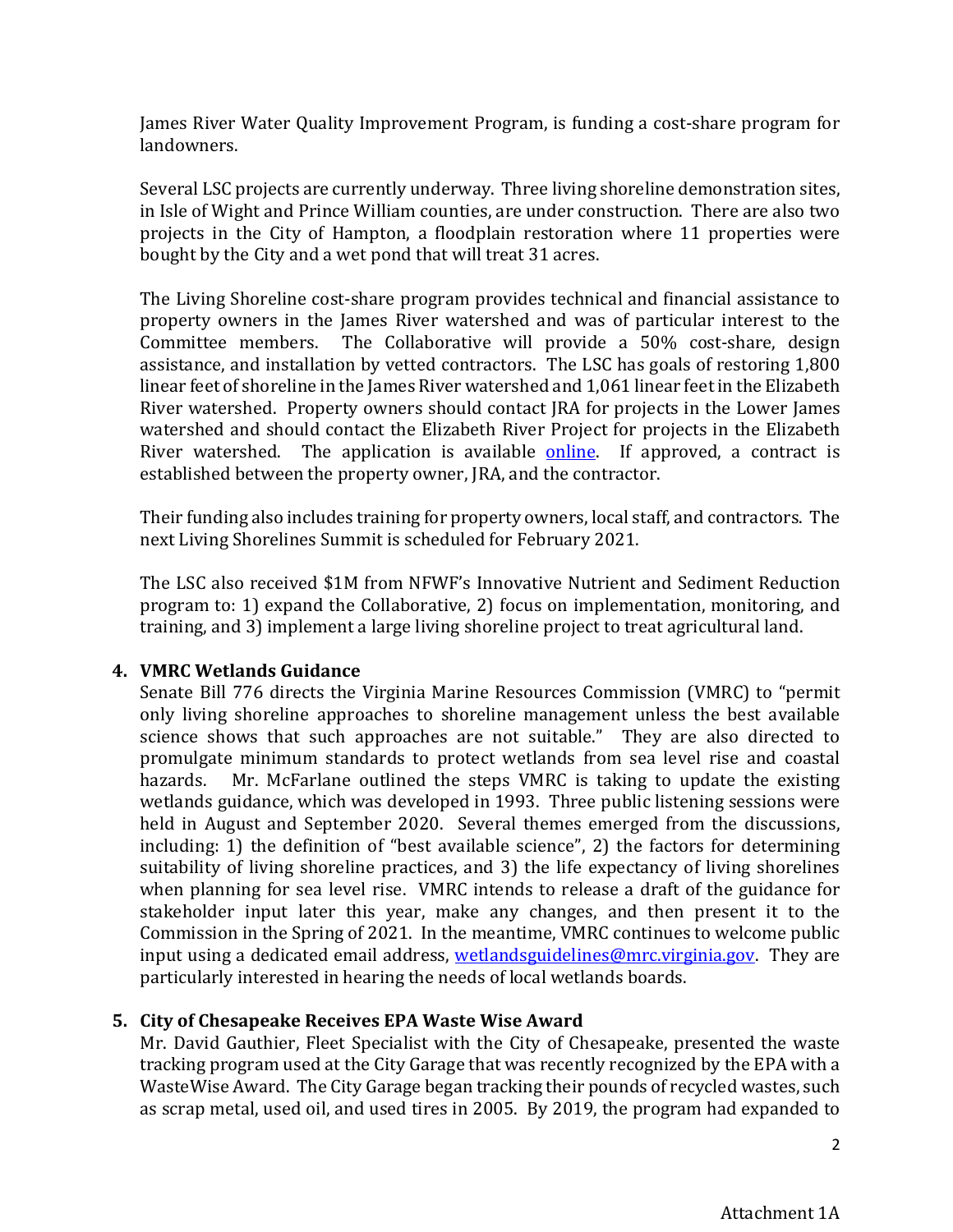James River Water Quality Improvement Program, is funding a cost-share program for landowners.

Several LSC projects are currently underway. Three living shoreline demonstration sites, in Isle of Wight and Prince William counties, are under construction. There are also two projects in the City of Hampton, a floodplain restoration where 11 properties were bought by the City and a wet pond that will treat 31 acres.

The Living Shoreline cost-share program provides technical and financial assistance to property owners in the James River watershed and was of particular interest to the Committee members. The Collaborative will provide a 50% cost-share, design assistance, and installation by vetted contractors. The LSC has goals of restoring 1,800 linear feet of shoreline in the James River watershed and 1,061 linear feet in the Elizabeth River watershed. Property owners should contact JRA for projects in the Lower James watershed and should contact the Elizabeth River Project for projects in the Elizabeth River watershed. The application is available [online.](file://hrpdc-fs-01/SHARED/PHYS/COMMITTEES/Regional%20Environmental/Agendas/2020/11Nov/jamesrivershorelines.org) If approved, a contract is established between the property owner, JRA, and the contractor.

Their funding also includes training for property owners, local staff, and contractors. The next Living Shorelines Summit is scheduled for February 2021.

The LSC also received \$1M from NFWF's Innovative Nutrient and Sediment Reduction program to: 1) expand the Collaborative, 2) focus on implementation, monitoring, and training, and 3) implement a large living shoreline project to treat agricultural land.

## **4. VMRC Wetlands Guidance**

Senate Bill 776 directs the Virginia Marine Resources Commission (VMRC) to "permit only living shoreline approaches to shoreline management unless the best available science shows that such approaches are not suitable." They are also directed to promulgate minimum standards to protect wetlands from sea level rise and coastal<br>hazards. Mr. McFarlane outlined the steps VMRC is taking to update the existing Mr. McFarlane outlined the steps VMRC is taking to update the existing wetlands guidance, which was developed in 1993. Three public listening sessions were held in August and September 2020. Several themes emerged from the discussions, including: 1) the definition of "best available science", 2) the factors for determining suitability of living shoreline practices, and 3) the life expectancy of living shorelines when planning for sea level rise. VMRC intends to release a draft of the guidance for stakeholder input later this year, make any changes, and then present it to the Commission in the Spring of 2021. In the meantime, VMRC continues to welcome public input using a dedicated email address, wetlandsguidelines@mrc.virginia.gov. They are particularly interested in hearing the needs of local wetlands boards.

# **5. City of Chesapeake Receives EPA Waste Wise Award**

Mr. David Gauthier, Fleet Specialist with the City of Chesapeake, presented the waste tracking program used at the City Garage that was recently recognized by the EPA with a WasteWise Award. The City Garage began tracking their pounds of recycled wastes, such as scrap metal, used oil, and used tires in 2005. By 2019, the program had expanded to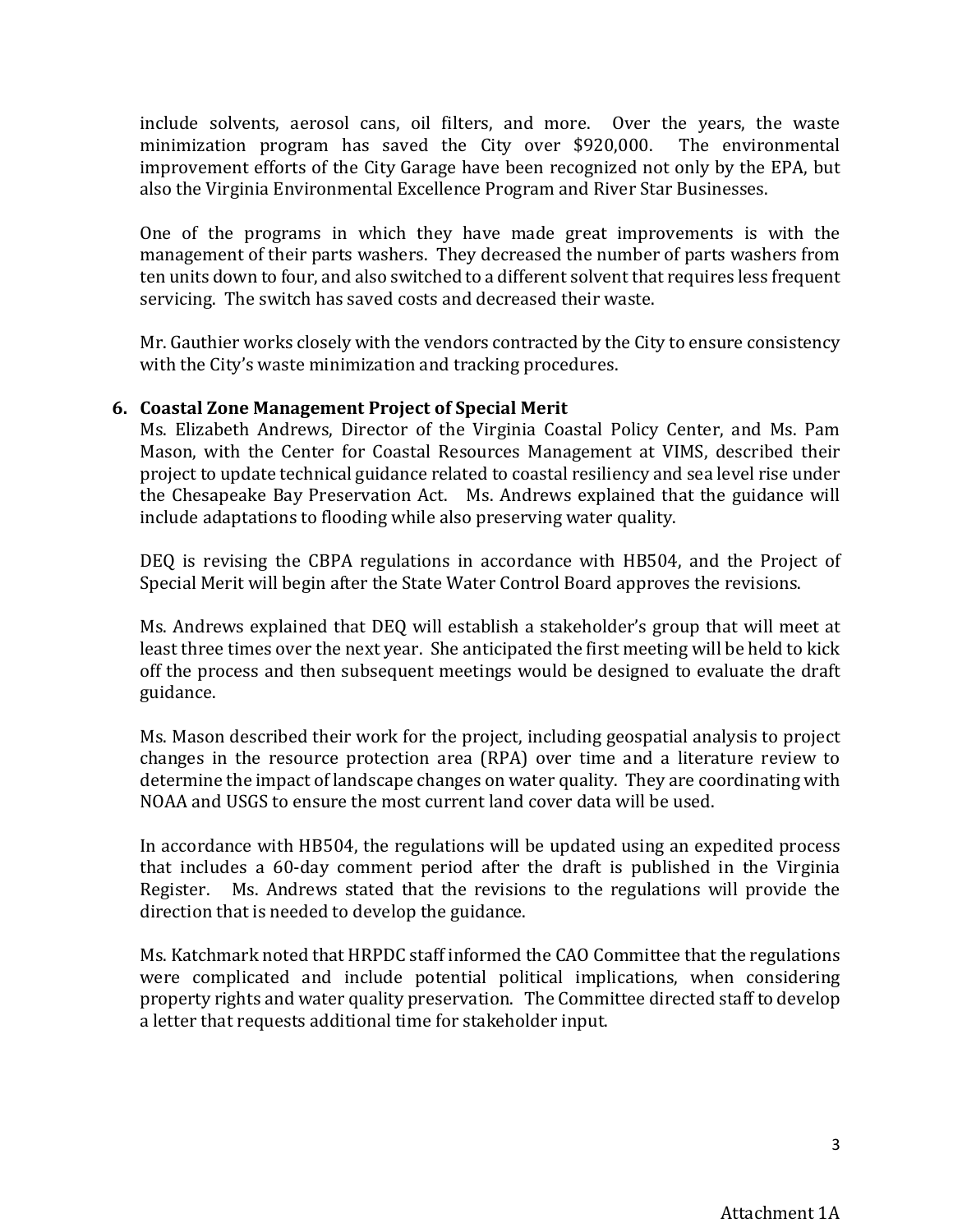include solvents, aerosol cans, oil filters, and more. Over the years, the waste minimization program has saved the City over  $$920,000$ . improvement efforts of the City Garage have been recognized not only by the EPA, but also the Virginia Environmental Excellence Program and River Star Businesses.

One of the programs in which they have made great improvements is with the management of their parts washers. They decreased the number of parts washers from ten units down to four, and also switched to a different solvent that requires less frequent servicing. The switch has saved costs and decreased their waste.

Mr. Gauthier works closely with the vendors contracted by the City to ensure consistency with the City's waste minimization and tracking procedures.

## **6. Coastal Zone Management Project of Special Merit**

Ms. Elizabeth Andrews, Director of the Virginia Coastal Policy Center, and Ms. Pam Mason, with the Center for Coastal Resources Management at VIMS, described their project to update technical guidance related to coastal resiliency and sea level rise under the Chesapeake Bay Preservation Act. Ms. Andrews explained that the guidance will include adaptations to flooding while also preserving water quality.

DEQ is revising the CBPA regulations in accordance with HB504, and the Project of Special Merit will begin after the State Water Control Board approves the revisions.

Ms. Andrews explained that DEQ will establish a stakeholder's group that will meet at least three times over the next year. She anticipated the first meeting will be held to kick off the process and then subsequent meetings would be designed to evaluate the draft guidance.

Ms. Mason described their work for the project, including geospatial analysis to project changes in the resource protection area (RPA) over time and a literature review to determine the impact of landscape changes on water quality. They are coordinating with NOAA and USGS to ensure the most current land cover data will be used.

In accordance with HB504, the regulations will be updated using an expedited process that includes a 60-day comment period after the draft is published in the Virginia Register. Ms. Andrews stated that the revisions to the regulations will provide the direction that is needed to develop the guidance.

Ms. Katchmark noted that HRPDC staff informed the CAO Committee that the regulations were complicated and include potential political implications, when considering property rights and water quality preservation. The Committee directed staff to develop a letter that requests additional time for stakeholder input.